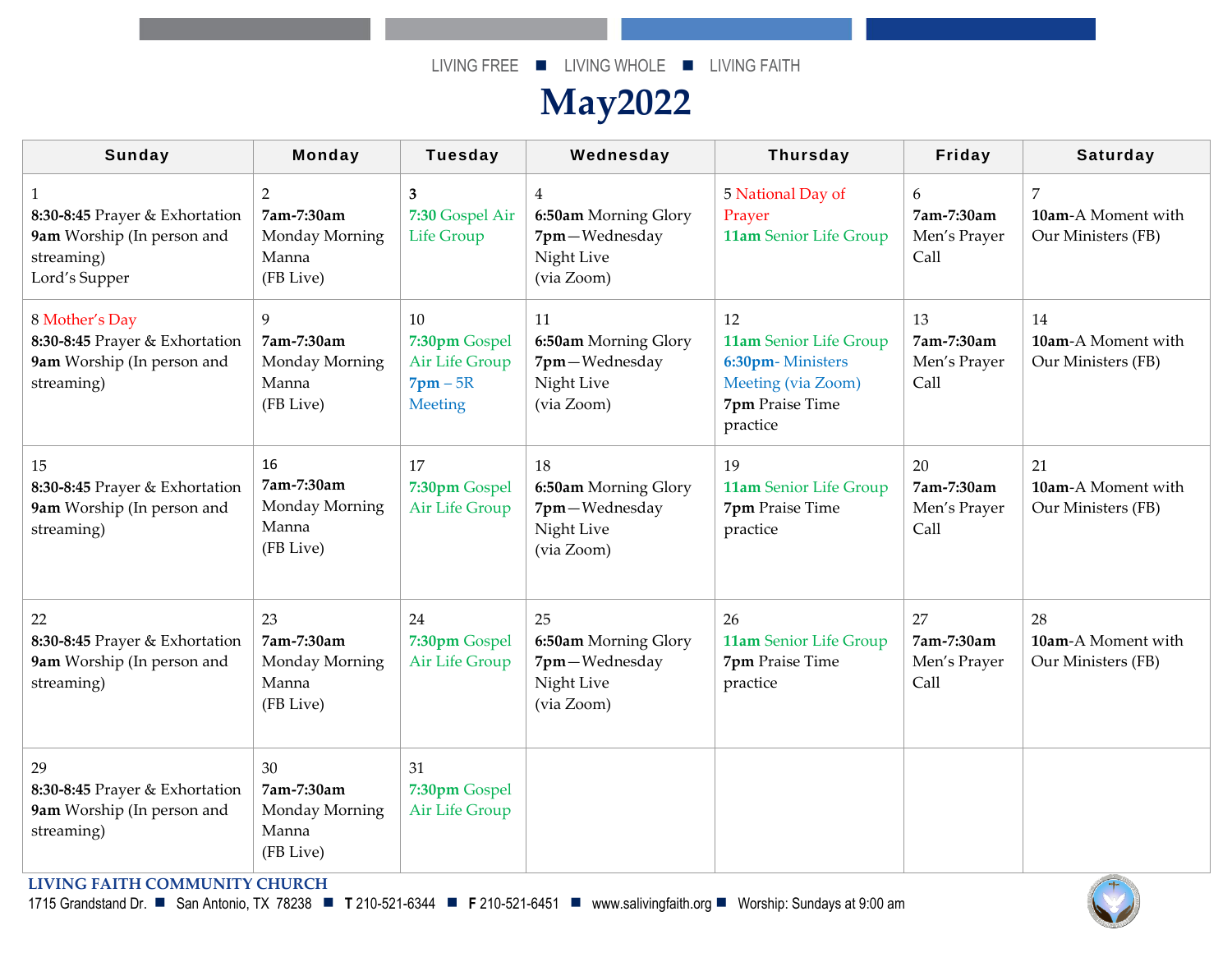## **May2022**

| <b>Sunday</b>                                                                                                            | Monday                                                   | <b>Tuesday</b>                                                   | Wednesday                                                                           | <b>Thursday</b>                                                                                       | Friday                                   | <b>Saturday</b>                                            |
|--------------------------------------------------------------------------------------------------------------------------|----------------------------------------------------------|------------------------------------------------------------------|-------------------------------------------------------------------------------------|-------------------------------------------------------------------------------------------------------|------------------------------------------|------------------------------------------------------------|
| 1<br>8:30-8:45 Prayer & Exhortation<br>9am Worship (In person and<br>streaming)<br>Lord's Supper                         | 2<br>7am-7:30am<br>Monday Morning<br>Manna<br>(FB Live)  | 3<br>7:30 Gospel Air<br><b>Life Group</b>                        | $\overline{4}$<br>6:50am Morning Glory<br>7pm-Wednesday<br>Night Live<br>(via Zoom) | 5 National Day of<br>Prayer<br>11am Senior Life Group                                                 | 6<br>7am-7:30am<br>Men's Prayer<br>Call  | $\overline{7}$<br>10am-A Moment with<br>Our Ministers (FB) |
| 8 Mother's Day<br>8:30-8:45 Prayer & Exhortation<br>9am Worship (In person and<br>streaming)                             | 9<br>7am-7:30am<br>Monday Morning<br>Manna<br>(FB Live)  | 10<br>7:30pm Gospel<br>Air Life Group<br>$7$ pm $-5R$<br>Meeting | 11<br>6:50am Morning Glory<br>7pm-Wednesday<br>Night Live<br>(via Zoom)             | 12<br>11am Senior Life Group<br>6:30pm-Ministers<br>Meeting (via Zoom)<br>7pm Praise Time<br>practice | 13<br>7am-7:30am<br>Men's Prayer<br>Call | 14<br>10am-A Moment with<br>Our Ministers (FB)             |
| 15<br>8:30-8:45 Prayer & Exhortation<br>9am Worship (In person and<br>streaming)                                         | 16<br>7am-7:30am<br>Monday Morning<br>Manna<br>(FB Live) | 17<br>7:30pm Gospel<br>Air Life Group                            | 18<br>6:50am Morning Glory<br>7pm-Wednesday<br>Night Live<br>(via Zoom)             | 19<br>11am Senior Life Group<br>7pm Praise Time<br>practice                                           | 20<br>7am-7:30am<br>Men's Prayer<br>Call | 21<br>10am-A Moment with<br>Our Ministers (FB)             |
| 22<br>8:30-8:45 Prayer & Exhortation<br>9am Worship (In person and<br>streaming)                                         | 23<br>7am-7:30am<br>Monday Morning<br>Manna<br>(FB Live) | 24<br>7:30pm Gospel<br>Air Life Group                            | 25<br>6:50am Morning Glory<br>7pm-Wednesday<br>Night Live<br>(via Zoom)             | 26<br>11am Senior Life Group<br>7pm Praise Time<br>practice                                           | 27<br>7am-7:30am<br>Men's Prayer<br>Call | 28<br>10am-A Moment with<br>Our Ministers (FB)             |
| 29<br>8:30-8:45 Prayer & Exhortation<br>9am Worship (In person and<br>streaming)<br><b>LIVING FAITH COMMUNITY CHURCH</b> | 30<br>7am-7:30am<br>Monday Morning<br>Manna<br>(FB Live) | 31<br>7:30pm Gospel<br>Air Life Group                            |                                                                                     |                                                                                                       |                                          | $\overline{+}$                                             |